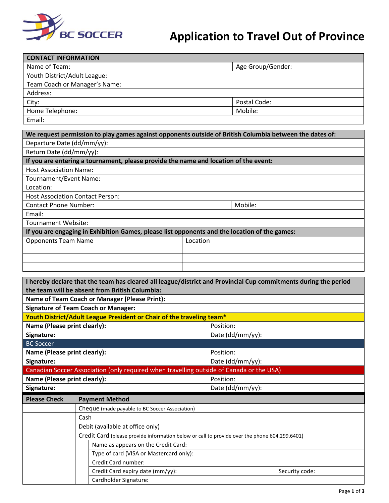

## **Application to Travel Out of Province**

| <b>CONTACT INFORMATION</b>    |                   |  |  |  |
|-------------------------------|-------------------|--|--|--|
| Name of Team:                 | Age Group/Gender: |  |  |  |
| Youth District/Adult League:  |                   |  |  |  |
| Team Coach or Manager's Name: |                   |  |  |  |
| Address:                      |                   |  |  |  |
| City:                         | Postal Code:      |  |  |  |
| Home Telephone:               | Mobile:           |  |  |  |
| Email:                        |                   |  |  |  |

| We request permission to play games against opponents outside of British Columbia between the dates of: |  |          |         |  |  |
|---------------------------------------------------------------------------------------------------------|--|----------|---------|--|--|
| Departure Date (dd/mm/yy):                                                                              |  |          |         |  |  |
| Return Date (dd/mm/yy):                                                                                 |  |          |         |  |  |
| If you are entering a tournament, please provide the name and location of the event:                    |  |          |         |  |  |
| <b>Host Association Name:</b>                                                                           |  |          |         |  |  |
| Tournament/Event Name:                                                                                  |  |          |         |  |  |
| Location:                                                                                               |  |          |         |  |  |
| <b>Host Association Contact Person:</b>                                                                 |  |          |         |  |  |
| <b>Contact Phone Number:</b>                                                                            |  |          | Mobile: |  |  |
| Email:                                                                                                  |  |          |         |  |  |
| Tournament Website:                                                                                     |  |          |         |  |  |
| If you are engaging in Exhibition Games, please list opponents and the location of the games:           |  |          |         |  |  |
| <b>Opponents Team Name</b>                                                                              |  | Location |         |  |  |
|                                                                                                         |  |          |         |  |  |
|                                                                                                         |  |          |         |  |  |
|                                                                                                         |  |          |         |  |  |

| I hereby declare that the team has cleared all league/district and Provincial Cup commitments during the period |                                                                                               |                                                      |                  |                |  |  |
|-----------------------------------------------------------------------------------------------------------------|-----------------------------------------------------------------------------------------------|------------------------------------------------------|------------------|----------------|--|--|
| the team will be absent from British Columbia:                                                                  |                                                                                               |                                                      |                  |                |  |  |
|                                                                                                                 |                                                                                               | <b>Name of Team Coach or Manager (Please Print):</b> |                  |                |  |  |
| <b>Signature of Team Coach or Manager:</b>                                                                      |                                                                                               |                                                      |                  |                |  |  |
| Youth District/Adult League President or Chair of the traveling team*                                           |                                                                                               |                                                      |                  |                |  |  |
| Name (Please print clearly):                                                                                    |                                                                                               |                                                      | Position:        |                |  |  |
| Signature:                                                                                                      |                                                                                               |                                                      | Date (dd/mm/yy): |                |  |  |
| <b>BC Soccer</b>                                                                                                |                                                                                               |                                                      |                  |                |  |  |
| Name (Please print clearly):                                                                                    |                                                                                               |                                                      | Position:        |                |  |  |
| Signature:                                                                                                      |                                                                                               |                                                      | Date (dd/mm/yy): |                |  |  |
| Canadian Soccer Association (only required when travelling outside of Canada or the USA)                        |                                                                                               |                                                      |                  |                |  |  |
| Name (Please print clearly):<br>Position:                                                                       |                                                                                               |                                                      |                  |                |  |  |
| Signature:                                                                                                      |                                                                                               |                                                      | Date (dd/mm/yy): |                |  |  |
| <b>Please Check</b><br><b>Payment Method</b>                                                                    |                                                                                               |                                                      |                  |                |  |  |
|                                                                                                                 |                                                                                               | Cheque (made payable to BC Soccer Association)       |                  |                |  |  |
|                                                                                                                 | Cash                                                                                          |                                                      |                  |                |  |  |
|                                                                                                                 | Debit (available at office only)                                                              |                                                      |                  |                |  |  |
|                                                                                                                 | Credit Card (please provide information below or call to provide over the phone 604.299.6401) |                                                      |                  |                |  |  |
|                                                                                                                 |                                                                                               | Name as appears on the Credit Card:                  |                  |                |  |  |
|                                                                                                                 |                                                                                               | Type of card (VISA or Mastercard only):              |                  |                |  |  |
|                                                                                                                 |                                                                                               | Credit Card number:                                  |                  |                |  |  |
|                                                                                                                 |                                                                                               | Credit Card expiry date (mm/yy):                     |                  | Security code: |  |  |
|                                                                                                                 |                                                                                               | Cardholder Signature:                                |                  |                |  |  |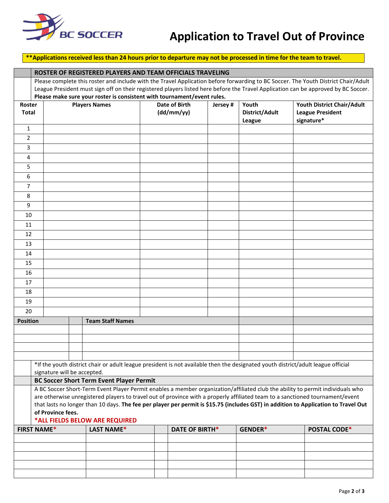

## **Application to Travel Out of Province**

## **\*\*Applications received less than 24 hours prior to departure may not be processed in time for the team to travel.**

|                                                                                                                                  | ROSTER OF REGISTERED PLAYERS AND TEAM OFFICIALS TRAVELING                                                                                                |                                                                                                                                    |                                                                         |                                                |  |         |                                   |                                                                                                                                    |
|----------------------------------------------------------------------------------------------------------------------------------|----------------------------------------------------------------------------------------------------------------------------------------------------------|------------------------------------------------------------------------------------------------------------------------------------|-------------------------------------------------------------------------|------------------------------------------------|--|---------|-----------------------------------|------------------------------------------------------------------------------------------------------------------------------------|
|                                                                                                                                  |                                                                                                                                                          | Please complete this roster and include with the Travel Application before forwarding to BC Soccer. The Youth District Chair/Adult |                                                                         |                                                |  |         |                                   |                                                                                                                                    |
|                                                                                                                                  |                                                                                                                                                          |                                                                                                                                    |                                                                         |                                                |  |         |                                   | League President must sign off on their registered players listed here before the Travel Application can be approved by BC Soccer. |
|                                                                                                                                  |                                                                                                                                                          |                                                                                                                                    | Please make sure your roster is consistent with tournament/event rules. |                                                |  |         |                                   |                                                                                                                                    |
| Roster<br><b>Total</b>                                                                                                           |                                                                                                                                                          | <b>Players Names</b>                                                                                                               |                                                                         | <b>Date of Birth</b><br>Jersey #<br>(dd/mm/yy) |  |         | Youth<br>District/Adult<br>League | Youth District Chair/Adult<br><b>League President</b><br>signature*                                                                |
| $\mathbf{1}$                                                                                                                     |                                                                                                                                                          |                                                                                                                                    |                                                                         |                                                |  |         |                                   |                                                                                                                                    |
| $\overline{2}$                                                                                                                   |                                                                                                                                                          |                                                                                                                                    |                                                                         |                                                |  |         |                                   |                                                                                                                                    |
| 3                                                                                                                                |                                                                                                                                                          |                                                                                                                                    |                                                                         |                                                |  |         |                                   |                                                                                                                                    |
| 4                                                                                                                                |                                                                                                                                                          |                                                                                                                                    |                                                                         |                                                |  |         |                                   |                                                                                                                                    |
| 5                                                                                                                                |                                                                                                                                                          |                                                                                                                                    |                                                                         |                                                |  |         |                                   |                                                                                                                                    |
| 6                                                                                                                                |                                                                                                                                                          |                                                                                                                                    |                                                                         |                                                |  |         |                                   |                                                                                                                                    |
| $\overline{7}$                                                                                                                   |                                                                                                                                                          |                                                                                                                                    |                                                                         |                                                |  |         |                                   |                                                                                                                                    |
| 8                                                                                                                                |                                                                                                                                                          |                                                                                                                                    |                                                                         |                                                |  |         |                                   |                                                                                                                                    |
| 9                                                                                                                                |                                                                                                                                                          |                                                                                                                                    |                                                                         |                                                |  |         |                                   |                                                                                                                                    |
| 10                                                                                                                               |                                                                                                                                                          |                                                                                                                                    |                                                                         |                                                |  |         |                                   |                                                                                                                                    |
| 11                                                                                                                               |                                                                                                                                                          |                                                                                                                                    |                                                                         |                                                |  |         |                                   |                                                                                                                                    |
| 12                                                                                                                               |                                                                                                                                                          |                                                                                                                                    |                                                                         |                                                |  |         |                                   |                                                                                                                                    |
| 13                                                                                                                               |                                                                                                                                                          |                                                                                                                                    |                                                                         |                                                |  |         |                                   |                                                                                                                                    |
| 14                                                                                                                               |                                                                                                                                                          |                                                                                                                                    |                                                                         |                                                |  |         |                                   |                                                                                                                                    |
| 15                                                                                                                               |                                                                                                                                                          |                                                                                                                                    |                                                                         |                                                |  |         |                                   |                                                                                                                                    |
| 16                                                                                                                               |                                                                                                                                                          |                                                                                                                                    |                                                                         |                                                |  |         |                                   |                                                                                                                                    |
| 17                                                                                                                               |                                                                                                                                                          |                                                                                                                                    |                                                                         |                                                |  |         |                                   |                                                                                                                                    |
| 18                                                                                                                               |                                                                                                                                                          |                                                                                                                                    |                                                                         |                                                |  |         |                                   |                                                                                                                                    |
| 19                                                                                                                               |                                                                                                                                                          |                                                                                                                                    |                                                                         |                                                |  |         |                                   |                                                                                                                                    |
| 20                                                                                                                               |                                                                                                                                                          |                                                                                                                                    |                                                                         |                                                |  |         |                                   |                                                                                                                                    |
| <b>Position</b>                                                                                                                  |                                                                                                                                                          |                                                                                                                                    | <b>Team Staff Names</b>                                                 |                                                |  |         |                                   |                                                                                                                                    |
|                                                                                                                                  |                                                                                                                                                          |                                                                                                                                    |                                                                         |                                                |  |         |                                   |                                                                                                                                    |
|                                                                                                                                  |                                                                                                                                                          |                                                                                                                                    |                                                                         |                                                |  |         |                                   |                                                                                                                                    |
|                                                                                                                                  |                                                                                                                                                          |                                                                                                                                    |                                                                         |                                                |  |         |                                   |                                                                                                                                    |
| *If the youth district chair or adult league president is not available then the designated youth district/adult league official |                                                                                                                                                          |                                                                                                                                    |                                                                         |                                                |  |         |                                   |                                                                                                                                    |
| signature will be accepted.<br><b>BC Soccer Short Term Event Player Permit</b>                                                   |                                                                                                                                                          |                                                                                                                                    |                                                                         |                                                |  |         |                                   |                                                                                                                                    |
| A BC Soccer Short-Term Event Player Permit enables a member organization/affiliated club the ability to permit individuals who   |                                                                                                                                                          |                                                                                                                                    |                                                                         |                                                |  |         |                                   |                                                                                                                                    |
|                                                                                                                                  | are otherwise unregistered players to travel out of province with a properly affiliated team to a sanctioned tournament/event                            |                                                                                                                                    |                                                                         |                                                |  |         |                                   |                                                                                                                                    |
|                                                                                                                                  | that lasts no longer than 10 days. The fee per player per permit is \$15.75 (includes GST) in addition to Application to Travel Out<br>of Province fees. |                                                                                                                                    |                                                                         |                                                |  |         |                                   |                                                                                                                                    |
| *ALL FIELDS BELOW ARE REQUIRED                                                                                                   |                                                                                                                                                          |                                                                                                                                    |                                                                         |                                                |  |         |                                   |                                                                                                                                    |
| <b>FIRST NAME*</b>                                                                                                               |                                                                                                                                                          | <b>LAST NAME*</b>                                                                                                                  | <b>DATE OF BIRTH*</b>                                                   |                                                |  | GENDER* | <b>POSTAL CODE*</b>               |                                                                                                                                    |
|                                                                                                                                  |                                                                                                                                                          |                                                                                                                                    |                                                                         |                                                |  |         |                                   |                                                                                                                                    |
|                                                                                                                                  |                                                                                                                                                          |                                                                                                                                    |                                                                         |                                                |  |         |                                   |                                                                                                                                    |
|                                                                                                                                  |                                                                                                                                                          |                                                                                                                                    |                                                                         |                                                |  |         |                                   |                                                                                                                                    |
|                                                                                                                                  |                                                                                                                                                          |                                                                                                                                    |                                                                         |                                                |  |         |                                   |                                                                                                                                    |
|                                                                                                                                  |                                                                                                                                                          |                                                                                                                                    |                                                                         |                                                |  |         |                                   |                                                                                                                                    |